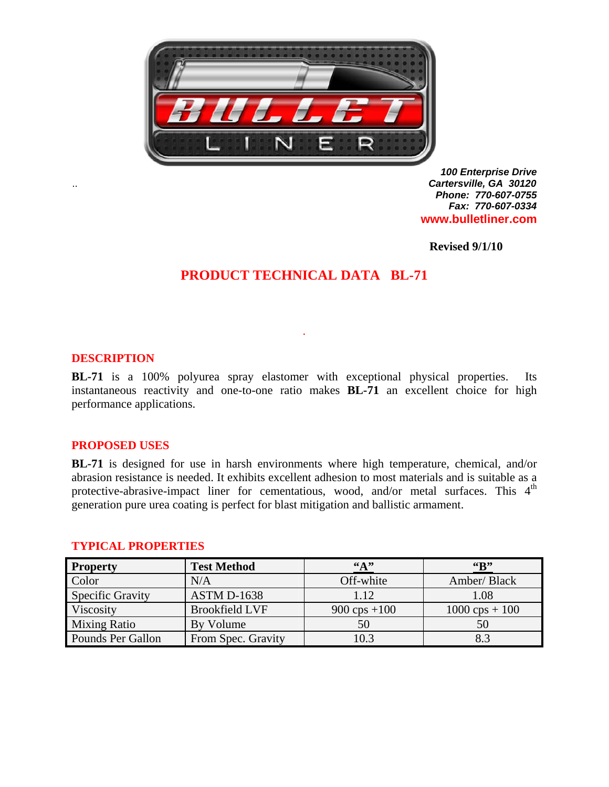

*100 Enterprise Drive*  .. *Cartersville, GA 30120 Phone: 770-607-0755 Fax: 770-607-0334* **www.bulletliner.com** 

**Revised 9/1/10** 

# **PRODUCT TECHNICAL DATA BL-71**

.

### **DESCRIPTION**

**BL-71** is a 100% polyurea spray elastomer with exceptional physical properties. Its instantaneous reactivity and one-to-one ratio makes **BL-71** an excellent choice for high performance applications.

### **PROPOSED USES**

**BL-71** is designed for use in harsh environments where high temperature, chemical, and/or abrasion resistance is needed. It exhibits excellent adhesion to most materials and is suitable as a protective-abrasive-impact liner for cementatious, wood, and/or metal surfaces. This  $4<sup>th</sup>$ generation pure urea coating is perfect for blast mitigation and ballistic armament.

| <b>Property</b>     | <b>Test Method</b>    | $\mathbf{A}$   | $G_{\mathbf{B}}^{\prime\prime}$ |
|---------------------|-----------------------|----------------|---------------------------------|
| Color               | N/A                   | Off-white      | Amber/ Black                    |
| Specific Gravity    | <b>ASTM D-1638</b>    | 1.12           | 1.08                            |
| Viscosity           | <b>Brookfield LVF</b> | 900 cps $+100$ | $1000 \text{ cps} + 100$        |
| <b>Mixing Ratio</b> | By Volume             | 50             | 50                              |
| Pounds Per Gallon   | From Spec. Gravity    | 10.3           | 83                              |

### **TYPICAL PROPERTIES**